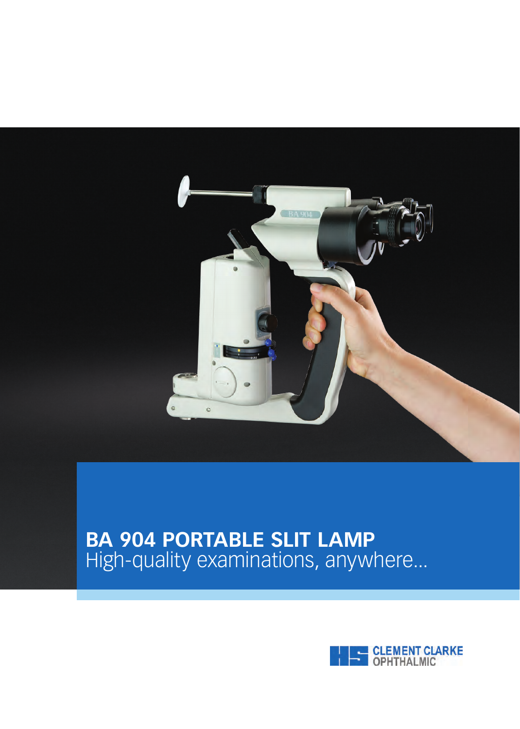

# **BA 904 PORTABLE SLIT LAMP** High-quality examinations, anywhere...

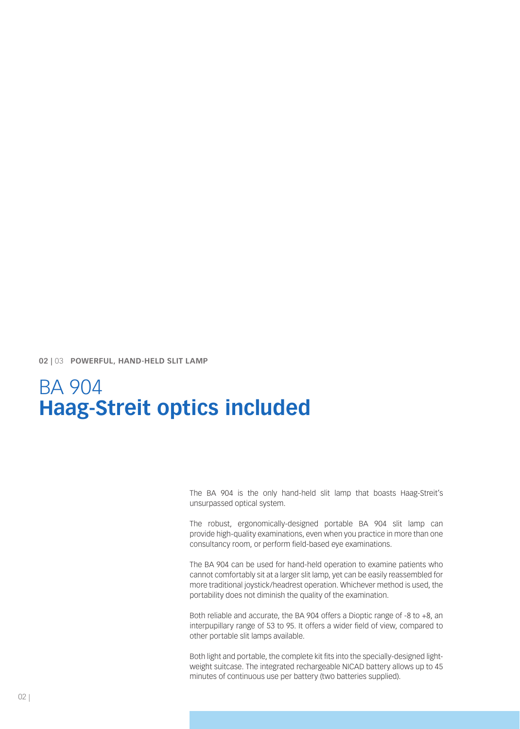**02 |** 03 **POWERFUL, HAND-HELD SLIT LAMP**

# BA 904 **Haag-Streit optics included**

The BA 904 is the only hand-held slit lamp that boasts Haag-Streit's unsurpassed optical system.

The robust, ergonomically-designed portable BA 904 slit lamp can provide high-quality examinations, even when you practice in more than one consultancy room, or perform field-based eye examinations.

The BA 904 can be used for hand-held operation to examine patients who cannot comfortably sit at a larger slit lamp, yet can be easily reassembled for more traditional joystick/headrest operation. Whichever method is used, the portability does not diminish the quality of the examination.

Both reliable and accurate, the BA 904 offers a Dioptic range of -8 to +8, an interpupillary range of 53 to 95. It offers a wider field of view, compared to other portable slit lamps available.

Both light and portable, the complete kit fits into the specially-designed lightweight suitcase. The integrated rechargeable NICAD battery allows up to 45 minutes of continuous use per battery (two batteries supplied).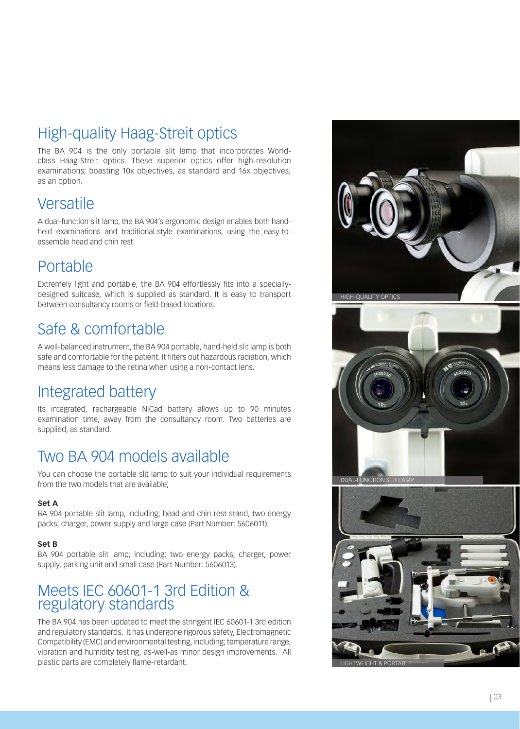# High-quality Haag-Streit optics

The BA 904 is the only portable slit lamp that incorporates Worldclass Haag-Streit optics. These superior optics offer high-resolution examinations; boasting 10x objectives, as standard and 16x objectives, as an option.

#### **Versatile**

A dual-function slit lamp, the BA 904's ergonomic design enables both handheld examinations and traditional-style examinations, using the easy-toassemble head and chin rest.

### **Portable**

Extremely light and portable, the BA 904 effortlessly fits into a speciallydesigned suitcase, which is supplied as standard. It is easy to transport between consultancy rooms or field-based locations.

## Safe & comfortable

A well-balanced instrument, the BA 904 portable, hand-held slit lamp is both safe and comfortable for the patient. It filters out hazardous radiation, which means less damage to the retina when using a non-contact lens.

## Integrated battery

Its integrated, rechargeable NiCad battery allows up to 90 minutes examination time, away from the consultancy room. Two batteries are supplied, as standard.

## Two BA 904 models available

You can choose the portable slit lamp to suit your individual requirements from the two models that are available;

#### **Set A**

BA 904 portable slit lamp, including; head and chin rest stand, two energy packs, charger, power supply and large case (Part Number: 5606011).

#### **Set B**

BA 904 portable slit lamp, including; two energy packs, charger, power supply, parking unit and small case (Part Number: 5606013).

#### Meets IEC 60601-1 3rd Edition & regulatory standards

The BA 904 has been updated to meet the stringent IEC 60601-1 3rd edition and regulatory standards. It has undergone rigorous safety, Electromagnetic Compatibility (EMC) and environmental testing, including; temperature range, vibration and humidity testing, as-well-as minor design improvements. All plastic parts are completely flame-retardant.